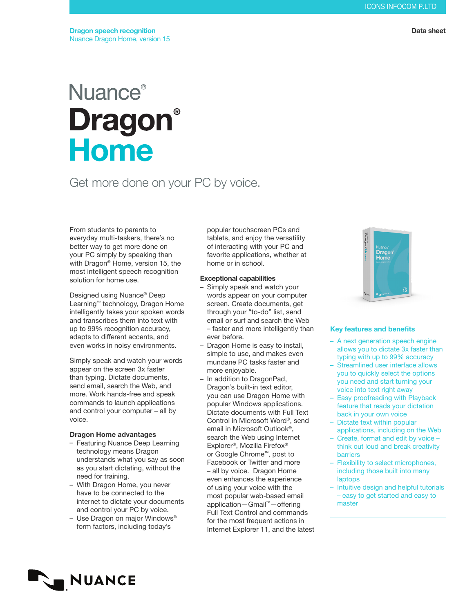#### Data sheet

# **Nuance**® **Dragon® Home**

# Get more done on your PC by voice.

From students to parents to everyday multi-taskers, there's no better way to get more done on your PC simply by speaking than with Dragon® Home, version 15, the most intelligent speech recognition solution for home use.

Designed using Nuance® Deep Learning™ technology, Dragon Home intelligently takes your spoken words and transcribes them into text with up to 99% recognition accuracy, adapts to different accents, and even works in noisy environments.

Simply speak and watch your words appear on the screen 3x faster than typing. Dictate documents, send email, search the Web, and more. Work hands-free and speak commands to launch applications and control your computer – all by voice.

## Dragon Home advantages

- Featuring Nuance Deep Learning technology means Dragon understands what you say as soon as you start dictating, without the need for training.
- With Dragon Home, you never have to be connected to the internet to dictate your documents and control your PC by voice.
- Use Dragon on major Windows® form factors, including today's

popular touchscreen PCs and tablets, and enjoy the versatility of interacting with your PC and favorite applications, whether at home or in school.

#### Exceptional capabilities

- Simply speak and watch your words appear on your computer screen. Create documents, get through your "to-do" list, send email or surf and search the Web – faster and more intelligently than ever before.
- Dragon Home is easy to install, simple to use, and makes even mundane PC tasks faster and more enjoyable.
- In addition to DragonPad, Dragon's built-in text editor, you can use Dragon Home with popular Windows applications. Dictate documents with Full Text Control in Microsoft Word®, send email in Microsoft Outlook®, search the Web using Internet Explorer®, Mozilla Firefox® or Google Chrome™, post to Facebook or Twitter and more – all by voice. Dragon Home even enhances the experience of using your voice with the most popular web-based email application—Gmail™—offering Full Text Control and commands for the most frequent actions in Internet Explorer 11, and the latest



## Key features and benefits

- A next generation speech engine allows you to dictate 3x faster than typing with up to 99% accuracy
- Streamlined user interface allows you to quickly select the options you need and start turning your voice into text right away
- Easy proofreading with Playback feature that reads your dictation back in your own voice
- Dictate text within popular applications, including on the Web
- Create, format and edit by voice think out loud and break creativity barriers
- Flexibility to select microphones, including those built into many laptops
- Intuitive design and helpful tutorials – easy to get started and easy to master